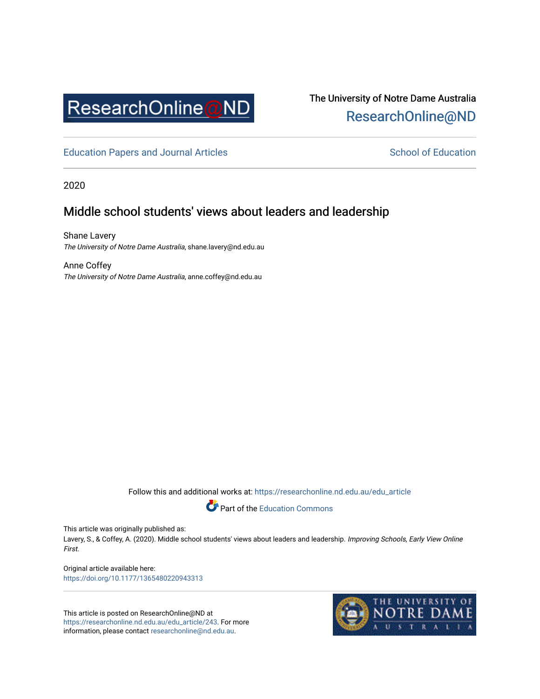

# The University of Notre Dame Australia [ResearchOnline@ND](https://researchonline.nd.edu.au/)

[Education Papers and Journal Articles](https://researchonline.nd.edu.au/edu_article) [School of Education](https://researchonline.nd.edu.au/edu) School of Education

2020

# Middle school students' views about leaders and leadership

Shane Lavery The University of Notre Dame Australia, shane.lavery@nd.edu.au

Anne Coffey The University of Notre Dame Australia, anne.coffey@nd.edu.au

Follow this and additional works at: [https://researchonline.nd.edu.au/edu\\_article](https://researchonline.nd.edu.au/edu_article?utm_source=researchonline.nd.edu.au%2Fedu_article%2F243&utm_medium=PDF&utm_campaign=PDFCoverPages)



This article was originally published as:

Lavery, S., & Coffey, A. (2020). Middle school students' views about leaders and leadership. Improving Schools, Early View Online First.

Original article available here: [https://doi.org/10.1177/1365480220943313](https://doi.org/10.1177/1365480220943313%20)

This article is posted on ResearchOnline@ND at [https://researchonline.nd.edu.au/edu\\_article/243](https://researchonline.nd.edu.au/edu_article/243). For more information, please contact [researchonline@nd.edu.au.](mailto:researchonline@nd.edu.au)

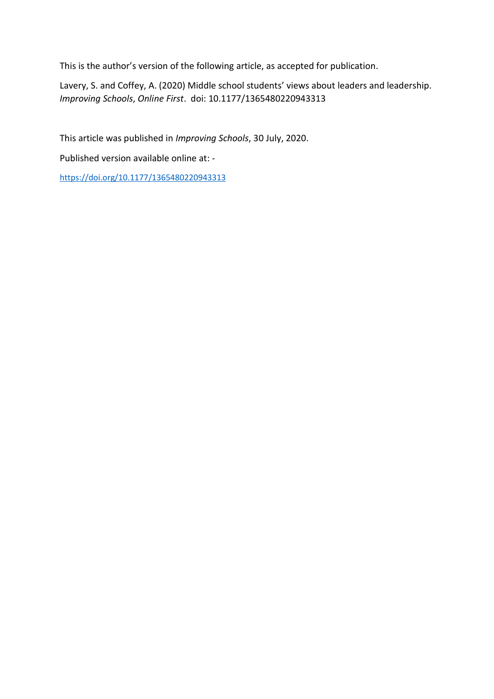This is the author's version of the following article, as accepted for publication.

Lavery, S. and Coffey, A. (2020) Middle school students' views about leaders and leadership. *Improving Schools*, *Online First*. doi: 10.1177/1365480220943313

This article was published in *Improving Schools*, 30 July, 2020.

Published version available online at: -

<https://doi.org/10.1177/1365480220943313>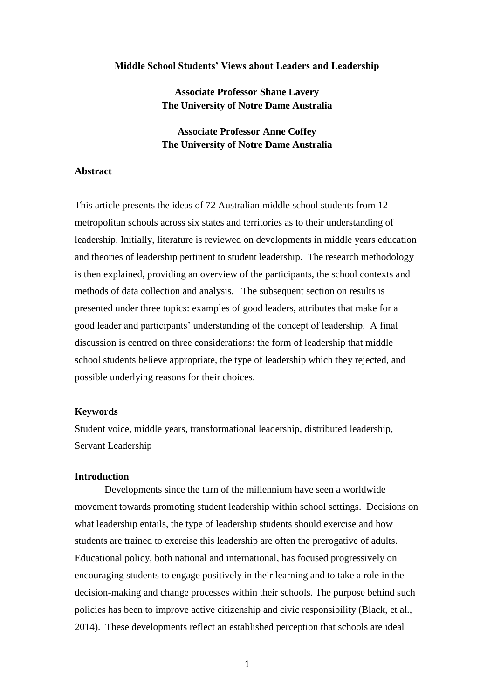### **Middle School Students' Views about Leaders and Leadership**

**Associate Professor Shane Lavery The University of Notre Dame Australia**

**Associate Professor Anne Coffey The University of Notre Dame Australia**

# **Abstract**

This article presents the ideas of 72 Australian middle school students from 12 metropolitan schools across six states and territories as to their understanding of leadership. Initially, literature is reviewed on developments in middle years education and theories of leadership pertinent to student leadership. The research methodology is then explained, providing an overview of the participants, the school contexts and methods of data collection and analysis. The subsequent section on results is presented under three topics: examples of good leaders, attributes that make for a good leader and participants' understanding of the concept of leadership. A final discussion is centred on three considerations: the form of leadership that middle school students believe appropriate, the type of leadership which they rejected, and possible underlying reasons for their choices.

#### **Keywords**

Student voice, middle years, transformational leadership, distributed leadership, Servant Leadership

# **Introduction**

Developments since the turn of the millennium have seen a worldwide movement towards promoting student leadership within school settings. Decisions on what leadership entails, the type of leadership students should exercise and how students are trained to exercise this leadership are often the prerogative of adults. Educational policy, both national and international, has focused progressively on encouraging students to engage positively in their learning and to take a role in the decision-making and change processes within their schools. The purpose behind such policies has been to improve active citizenship and civic responsibility (Black, et al., 2014). These developments reflect an established perception that schools are ideal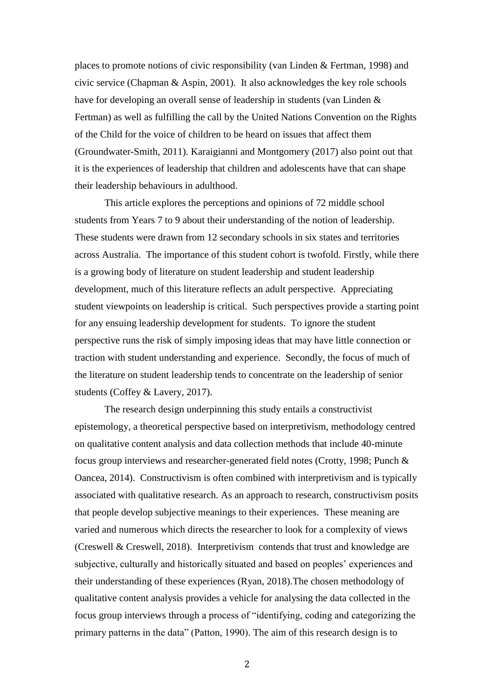places to promote notions of civic responsibility (van Linden & Fertman, 1998) and civic service (Chapman & Aspin, 2001). It also acknowledges the key role schools have for developing an overall sense of leadership in students (van Linden & Fertman) as well as fulfilling the call by the United Nations Convention on the Rights of the Child for the voice of children to be heard on issues that affect them (Groundwater-Smith, 2011). Karaigianni and Montgomery (2017) also point out that it is the experiences of leadership that children and adolescents have that can shape their leadership behaviours in adulthood.

This article explores the perceptions and opinions of 72 middle school students from Years 7 to 9 about their understanding of the notion of leadership. These students were drawn from 12 secondary schools in six states and territories across Australia. The importance of this student cohort is twofold. Firstly, while there is a growing body of literature on student leadership and student leadership development, much of this literature reflects an adult perspective. Appreciating student viewpoints on leadership is critical. Such perspectives provide a starting point for any ensuing leadership development for students. To ignore the student perspective runs the risk of simply imposing ideas that may have little connection or traction with student understanding and experience. Secondly, the focus of much of the literature on student leadership tends to concentrate on the leadership of senior students (Coffey & Lavery, 2017).

The research design underpinning this study entails a constructivist epistemology, a theoretical perspective based on interpretivism, methodology centred on qualitative content analysis and data collection methods that include 40-minute focus group interviews and researcher-generated field notes (Crotty, 1998; Punch & Oancea, 2014). Constructivism is often combined with interpretivism and is typically associated with qualitative research. As an approach to research, constructivism posits that people develop subjective meanings to their experiences. These meaning are varied and numerous which directs the researcher to look for a complexity of views (Creswell & Creswell, 2018). Interpretivism contends that trust and knowledge are subjective, culturally and historically situated and based on peoples' experiences and their understanding of these experiences (Ryan, 2018).The chosen methodology of qualitative content analysis provides a vehicle for analysing the data collected in the focus group interviews through a process of "identifying, coding and categorizing the primary patterns in the data" (Patton, 1990). The aim of this research design is to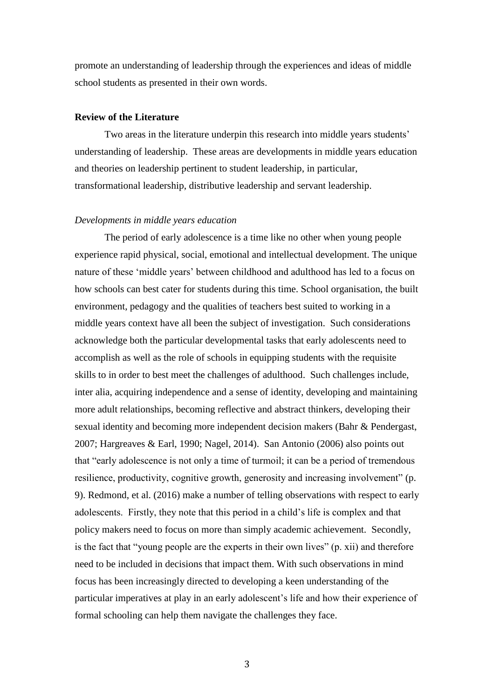promote an understanding of leadership through the experiences and ideas of middle school students as presented in their own words.

# **Review of the Literature**

Two areas in the literature underpin this research into middle years students' understanding of leadership. These areas are developments in middle years education and theories on leadership pertinent to student leadership, in particular, transformational leadership, distributive leadership and servant leadership.

#### *Developments in middle years education*

The period of early adolescence is a time like no other when young people experience rapid physical, social, emotional and intellectual development. The unique nature of these 'middle years' between childhood and adulthood has led to a focus on how schools can best cater for students during this time. School organisation, the built environment, pedagogy and the qualities of teachers best suited to working in a middle years context have all been the subject of investigation. Such considerations acknowledge both the particular developmental tasks that early adolescents need to accomplish as well as the role of schools in equipping students with the requisite skills to in order to best meet the challenges of adulthood. Such challenges include, inter alia, acquiring independence and a sense of identity, developing and maintaining more adult relationships, becoming reflective and abstract thinkers, developing their sexual identity and becoming more independent decision makers (Bahr & Pendergast, 2007; Hargreaves & Earl, 1990; Nagel, 2014). San Antonio (2006) also points out that "early adolescence is not only a time of turmoil; it can be a period of tremendous resilience, productivity, cognitive growth, generosity and increasing involvement" (p. 9). Redmond, et al. (2016) make a number of telling observations with respect to early adolescents. Firstly, they note that this period in a child's life is complex and that policy makers need to focus on more than simply academic achievement. Secondly, is the fact that "young people are the experts in their own lives" (p. xii) and therefore need to be included in decisions that impact them. With such observations in mind focus has been increasingly directed to developing a keen understanding of the particular imperatives at play in an early adolescent's life and how their experience of formal schooling can help them navigate the challenges they face.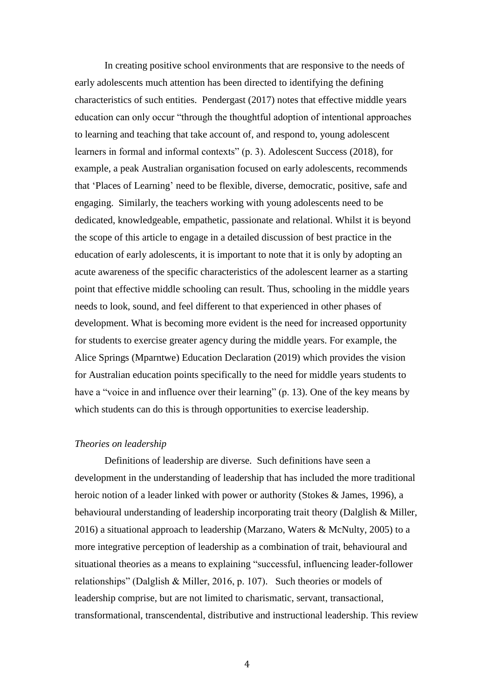In creating positive school environments that are responsive to the needs of early adolescents much attention has been directed to identifying the defining characteristics of such entities. Pendergast (2017) notes that effective middle years education can only occur "through the thoughtful adoption of intentional approaches to learning and teaching that take account of, and respond to, young adolescent learners in formal and informal contexts" (p. 3). Adolescent Success (2018), for example, a peak Australian organisation focused on early adolescents, recommends that 'Places of Learning' need to be flexible, diverse, democratic, positive, safe and engaging. Similarly, the teachers working with young adolescents need to be dedicated, knowledgeable, empathetic, passionate and relational. Whilst it is beyond the scope of this article to engage in a detailed discussion of best practice in the education of early adolescents, it is important to note that it is only by adopting an acute awareness of the specific characteristics of the adolescent learner as a starting point that effective middle schooling can result. Thus, schooling in the middle years needs to look, sound, and feel different to that experienced in other phases of development. What is becoming more evident is the need for increased opportunity for students to exercise greater agency during the middle years. For example, the Alice Springs (Mparntwe) Education Declaration (2019) which provides the vision for Australian education points specifically to the need for middle years students to have a "voice in and influence over their learning" (p. 13). One of the key means by which students can do this is through opportunities to exercise leadership.

### *Theories on leadership*

Definitions of leadership are diverse. Such definitions have seen a development in the understanding of leadership that has included the more traditional heroic notion of a leader linked with power or authority (Stokes & James, 1996), a behavioural understanding of leadership incorporating trait theory (Dalglish & Miller, 2016) a situational approach to leadership (Marzano, Waters & McNulty, 2005) to a more integrative perception of leadership as a combination of trait, behavioural and situational theories as a means to explaining "successful, influencing leader-follower relationships" (Dalglish & Miller, 2016, p. 107). Such theories or models of leadership comprise, but are not limited to charismatic, servant, transactional, transformational, transcendental, distributive and instructional leadership. This review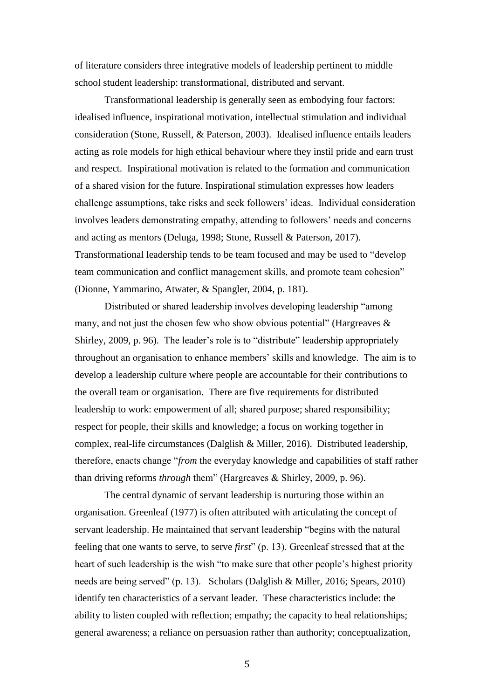of literature considers three integrative models of leadership pertinent to middle school student leadership: transformational, distributed and servant.

Transformational leadership is generally seen as embodying four factors: idealised influence, inspirational motivation, intellectual stimulation and individual consideration (Stone, Russell, & Paterson, 2003). Idealised influence entails leaders acting as role models for high ethical behaviour where they instil pride and earn trust and respect. Inspirational motivation is related to the formation and communication of a shared vision for the future. Inspirational stimulation expresses how leaders challenge assumptions, take risks and seek followers' ideas. Individual consideration involves leaders demonstrating empathy, attending to followers' needs and concerns and acting as mentors (Deluga, 1998; Stone, Russell & Paterson, 2017). Transformational leadership tends to be team focused and may be used to "develop team communication and conflict management skills, and promote team cohesion" (Dionne, Yammarino, Atwater, & Spangler, 2004, p. 181).

Distributed or shared leadership involves developing leadership "among many, and not just the chosen few who show obvious potential" (Hargreaves  $\&$ Shirley, 2009, p. 96). The leader's role is to "distribute" leadership appropriately throughout an organisation to enhance members' skills and knowledge. The aim is to develop a leadership culture where people are accountable for their contributions to the overall team or organisation. There are five requirements for distributed leadership to work: empowerment of all; shared purpose; shared responsibility; respect for people, their skills and knowledge; a focus on working together in complex, real-life circumstances (Dalglish & Miller, 2016). Distributed leadership, therefore, enacts change "*from* the everyday knowledge and capabilities of staff rather than driving reforms *through* them" (Hargreaves & Shirley, 2009, p. 96).

The central dynamic of servant leadership is nurturing those within an organisation. Greenleaf (1977) is often attributed with articulating the concept of servant leadership. He maintained that servant leadership "begins with the natural feeling that one wants to serve, to serve *first*" (p. 13). Greenleaf stressed that at the heart of such leadership is the wish "to make sure that other people's highest priority needs are being served" (p. 13). Scholars (Dalglish & Miller, 2016; Spears, 2010) identify ten characteristics of a servant leader. These characteristics include: the ability to listen coupled with reflection; empathy; the capacity to heal relationships; general awareness; a reliance on persuasion rather than authority; conceptualization,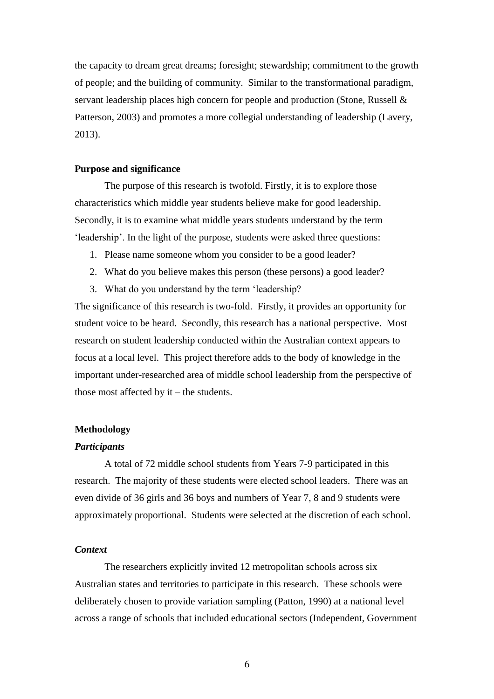the capacity to dream great dreams; foresight; stewardship; commitment to the growth of people; and the building of community. Similar to the transformational paradigm, servant leadership places high concern for people and production (Stone, Russell & Patterson, 2003) and promotes a more collegial understanding of leadership (Lavery, 2013).

# **Purpose and significance**

The purpose of this research is twofold. Firstly, it is to explore those characteristics which middle year students believe make for good leadership. Secondly, it is to examine what middle years students understand by the term 'leadership'. In the light of the purpose, students were asked three questions:

- 1. Please name someone whom you consider to be a good leader?
- 2. What do you believe makes this person (these persons) a good leader?
- 3. What do you understand by the term 'leadership?

The significance of this research is two-fold. Firstly, it provides an opportunity for student voice to be heard. Secondly, this research has a national perspective. Most research on student leadership conducted within the Australian context appears to focus at a local level. This project therefore adds to the body of knowledge in the important under-researched area of middle school leadership from the perspective of those most affected by it – the students.

# **Methodology**

#### *Participants*

A total of 72 middle school students from Years 7-9 participated in this research. The majority of these students were elected school leaders. There was an even divide of 36 girls and 36 boys and numbers of Year 7, 8 and 9 students were approximately proportional. Students were selected at the discretion of each school.

# *Context*

The researchers explicitly invited 12 metropolitan schools across six Australian states and territories to participate in this research. These schools were deliberately chosen to provide variation sampling (Patton, 1990) at a national level across a range of schools that included educational sectors (Independent, Government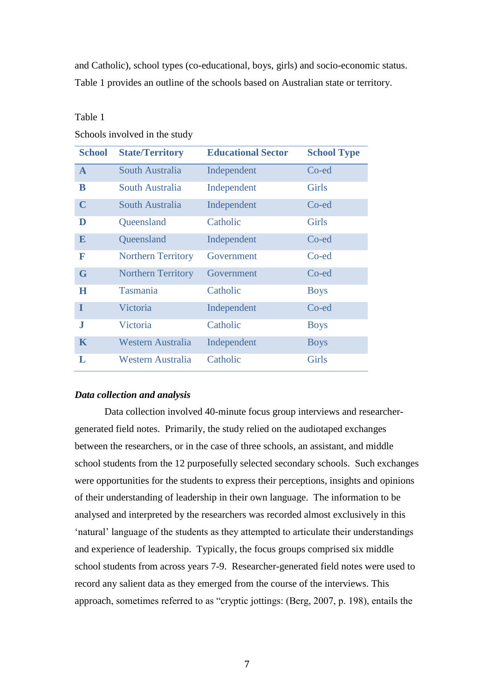and Catholic), school types (co-educational, boys, girls) and socio-economic status. Table 1 provides an outline of the schools based on Australian state or territory.

Table 1

### Schools involved in the study

| <b>School</b> | <b>State/Territory</b>    | <b>Educational Sector</b> | <b>School Type</b> |
|---------------|---------------------------|---------------------------|--------------------|
| $\mathbf{A}$  | South Australia           | Independent               | Co-ed              |
| B             | South Australia           | Independent               | <b>Girls</b>       |
| $\mathbf C$   | South Australia           | Independent               | Co-ed              |
| D             | Queensland                | Catholic                  | <b>Girls</b>       |
| E             | Queensland                | Independent               | Co-ed              |
| F             | <b>Northern Territory</b> | Government                | Co-ed              |
| G             | <b>Northern Territory</b> | Government                | Co-ed              |
| Н             | Tasmania                  | Catholic                  | <b>Boys</b>        |
| T             | Victoria                  | Independent               | Co-ed              |
| J             | Victoria                  | Catholic                  | <b>Boys</b>        |
| K             | <b>Western Australia</b>  | Independent               | <b>Boys</b>        |
| L             | Western Australia         | Catholic                  | Girls              |

## *Data collection and analysis*

Data collection involved 40-minute focus group interviews and researchergenerated field notes. Primarily, the study relied on the audiotaped exchanges between the researchers, or in the case of three schools, an assistant, and middle school students from the 12 purposefully selected secondary schools. Such exchanges were opportunities for the students to express their perceptions, insights and opinions of their understanding of leadership in their own language. The information to be analysed and interpreted by the researchers was recorded almost exclusively in this 'natural' language of the students as they attempted to articulate their understandings and experience of leadership. Typically, the focus groups comprised six middle school students from across years 7-9. Researcher-generated field notes were used to record any salient data as they emerged from the course of the interviews. This approach, sometimes referred to as "cryptic jottings: (Berg, 2007, p. 198), entails the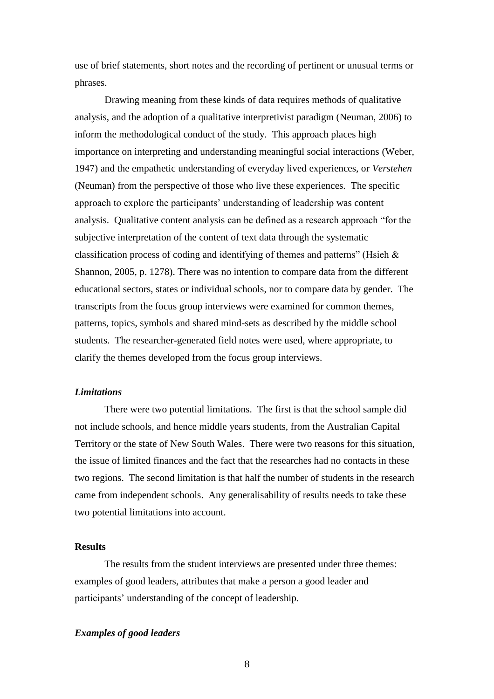use of brief statements, short notes and the recording of pertinent or unusual terms or phrases.

Drawing meaning from these kinds of data requires methods of qualitative analysis, and the adoption of a qualitative interpretivist paradigm (Neuman, 2006) to inform the methodological conduct of the study. This approach places high importance on interpreting and understanding meaningful social interactions (Weber, 1947) and the empathetic understanding of everyday lived experiences, or *Verstehen* (Neuman) from the perspective of those who live these experiences. The specific approach to explore the participants' understanding of leadership was content analysis. Qualitative content analysis can be defined as a research approach "for the subjective interpretation of the content of text data through the systematic classification process of coding and identifying of themes and patterns" (Hsieh & Shannon, 2005, p. 1278). There was no intention to compare data from the different educational sectors, states or individual schools, nor to compare data by gender. The transcripts from the focus group interviews were examined for common themes, patterns, topics, symbols and shared mind-sets as described by the middle school students. The researcher-generated field notes were used, where appropriate, to clarify the themes developed from the focus group interviews.

# *Limitations*

There were two potential limitations. The first is that the school sample did not include schools, and hence middle years students, from the Australian Capital Territory or the state of New South Wales. There were two reasons for this situation, the issue of limited finances and the fact that the researches had no contacts in these two regions. The second limitation is that half the number of students in the research came from independent schools. Any generalisability of results needs to take these two potential limitations into account.

# **Results**

The results from the student interviews are presented under three themes: examples of good leaders, attributes that make a person a good leader and participants' understanding of the concept of leadership.

# *Examples of good leaders*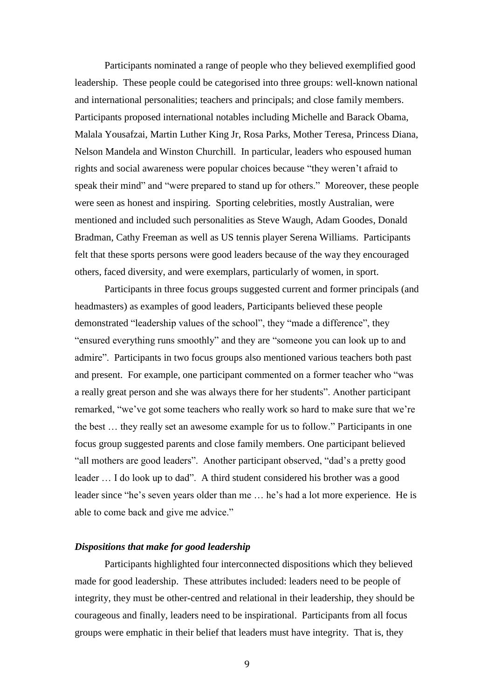Participants nominated a range of people who they believed exemplified good leadership. These people could be categorised into three groups: well-known national and international personalities; teachers and principals; and close family members. Participants proposed international notables including Michelle and Barack Obama, Malala Yousafzai, Martin Luther King Jr, Rosa Parks, Mother Teresa, Princess Diana, Nelson Mandela and Winston Churchill. In particular, leaders who espoused human rights and social awareness were popular choices because "they weren't afraid to speak their mind" and "were prepared to stand up for others." Moreover, these people were seen as honest and inspiring. Sporting celebrities, mostly Australian, were mentioned and included such personalities as Steve Waugh, Adam Goodes, Donald Bradman, Cathy Freeman as well as US tennis player Serena Williams. Participants felt that these sports persons were good leaders because of the way they encouraged others, faced diversity, and were exemplars, particularly of women, in sport.

Participants in three focus groups suggested current and former principals (and headmasters) as examples of good leaders, Participants believed these people demonstrated "leadership values of the school", they "made a difference", they "ensured everything runs smoothly" and they are "someone you can look up to and admire". Participants in two focus groups also mentioned various teachers both past and present. For example, one participant commented on a former teacher who "was a really great person and she was always there for her students". Another participant remarked, "we've got some teachers who really work so hard to make sure that we're the best … they really set an awesome example for us to follow." Participants in one focus group suggested parents and close family members. One participant believed "all mothers are good leaders". Another participant observed, "dad's a pretty good leader … I do look up to dad". A third student considered his brother was a good leader since "he's seven years older than me … he's had a lot more experience. He is able to come back and give me advice."

# *Dispositions that make for good leadership*

Participants highlighted four interconnected dispositions which they believed made for good leadership. These attributes included: leaders need to be people of integrity, they must be other-centred and relational in their leadership, they should be courageous and finally, leaders need to be inspirational. Participants from all focus groups were emphatic in their belief that leaders must have integrity. That is, they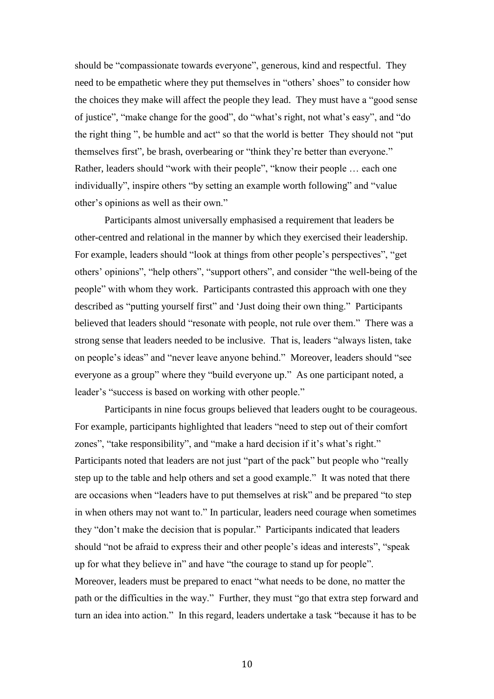should be "compassionate towards everyone", generous, kind and respectful. They need to be empathetic where they put themselves in "others' shoes" to consider how the choices they make will affect the people they lead. They must have a "good sense of justice", "make change for the good", do "what's right, not what's easy", and "do the right thing ", be humble and act" so that the world is better They should not "put themselves first", be brash, overbearing or "think they're better than everyone." Rather, leaders should "work with their people", "know their people … each one individually", inspire others "by setting an example worth following" and "value other's opinions as well as their own."

Participants almost universally emphasised a requirement that leaders be other-centred and relational in the manner by which they exercised their leadership. For example, leaders should "look at things from other people's perspectives", "get others' opinions", "help others", "support others", and consider "the well-being of the people" with whom they work. Participants contrasted this approach with one they described as "putting yourself first" and 'Just doing their own thing." Participants believed that leaders should "resonate with people, not rule over them." There was a strong sense that leaders needed to be inclusive. That is, leaders "always listen, take on people's ideas" and "never leave anyone behind." Moreover, leaders should "see everyone as a group" where they "build everyone up." As one participant noted, a leader's "success is based on working with other people."

Participants in nine focus groups believed that leaders ought to be courageous. For example, participants highlighted that leaders "need to step out of their comfort zones", "take responsibility", and "make a hard decision if it's what's right." Participants noted that leaders are not just "part of the pack" but people who "really step up to the table and help others and set a good example." It was noted that there are occasions when "leaders have to put themselves at risk" and be prepared "to step in when others may not want to." In particular, leaders need courage when sometimes they "don't make the decision that is popular." Participants indicated that leaders should "not be afraid to express their and other people's ideas and interests", "speak up for what they believe in" and have "the courage to stand up for people". Moreover, leaders must be prepared to enact "what needs to be done, no matter the path or the difficulties in the way." Further, they must "go that extra step forward and turn an idea into action." In this regard, leaders undertake a task "because it has to be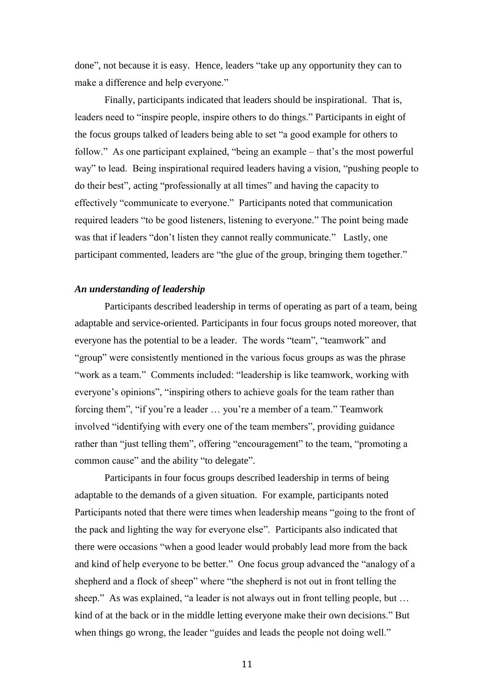done", not because it is easy. Hence, leaders "take up any opportunity they can to make a difference and help everyone."

Finally, participants indicated that leaders should be inspirational. That is, leaders need to "inspire people, inspire others to do things." Participants in eight of the focus groups talked of leaders being able to set "a good example for others to follow." As one participant explained, "being an example – that's the most powerful way" to lead. Being inspirational required leaders having a vision, "pushing people to do their best", acting "professionally at all times" and having the capacity to effectively "communicate to everyone." Participants noted that communication required leaders "to be good listeners, listening to everyone." The point being made was that if leaders "don't listen they cannot really communicate." Lastly, one participant commented, leaders are "the glue of the group, bringing them together."

#### *An understanding of leadership*

Participants described leadership in terms of operating as part of a team, being adaptable and service-oriented. Participants in four focus groups noted moreover, that everyone has the potential to be a leader. The words "team", "teamwork" and "group" were consistently mentioned in the various focus groups as was the phrase "work as a team." Comments included: "leadership is like teamwork, working with everyone's opinions", "inspiring others to achieve goals for the team rather than forcing them", "if you're a leader … you're a member of a team." Teamwork involved "identifying with every one of the team members", providing guidance rather than "just telling them", offering "encouragement" to the team, "promoting a common cause" and the ability "to delegate".

Participants in four focus groups described leadership in terms of being adaptable to the demands of a given situation. For example, participants noted Participants noted that there were times when leadership means "going to the front of the pack and lighting the way for everyone else". Participants also indicated that there were occasions "when a good leader would probably lead more from the back and kind of help everyone to be better." One focus group advanced the "analogy of a shepherd and a flock of sheep" where "the shepherd is not out in front telling the sheep." As was explained, "a leader is not always out in front telling people, but ... kind of at the back or in the middle letting everyone make their own decisions." But when things go wrong, the leader "guides and leads the people not doing well."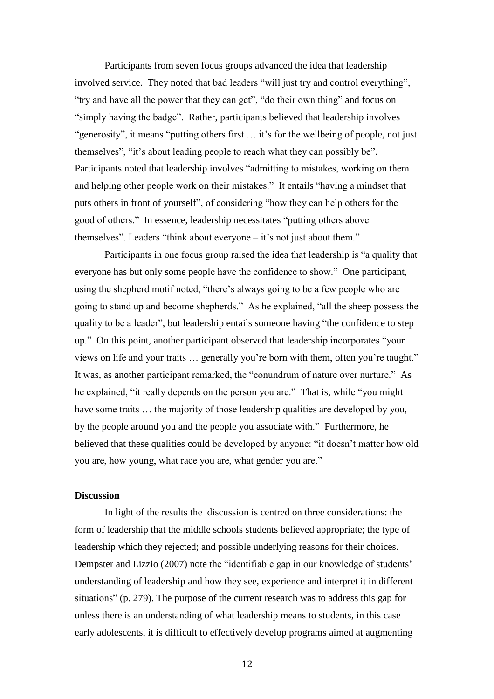Participants from seven focus groups advanced the idea that leadership involved service. They noted that bad leaders "will just try and control everything", "try and have all the power that they can get", "do their own thing" and focus on "simply having the badge". Rather, participants believed that leadership involves "generosity", it means "putting others first … it's for the wellbeing of people, not just themselves", "it's about leading people to reach what they can possibly be". Participants noted that leadership involves "admitting to mistakes, working on them and helping other people work on their mistakes." It entails "having a mindset that puts others in front of yourself", of considering "how they can help others for the good of others." In essence, leadership necessitates "putting others above themselves". Leaders "think about everyone – it's not just about them."

Participants in one focus group raised the idea that leadership is "a quality that everyone has but only some people have the confidence to show." One participant, using the shepherd motif noted, "there's always going to be a few people who are going to stand up and become shepherds." As he explained, "all the sheep possess the quality to be a leader", but leadership entails someone having "the confidence to step up." On this point, another participant observed that leadership incorporates "your views on life and your traits … generally you're born with them, often you're taught." It was, as another participant remarked, the "conundrum of nature over nurture." As he explained, "it really depends on the person you are." That is, while "you might have some traits ... the majority of those leadership qualities are developed by you, by the people around you and the people you associate with." Furthermore, he believed that these qualities could be developed by anyone: "it doesn't matter how old you are, how young, what race you are, what gender you are."

# **Discussion**

In light of the results the discussion is centred on three considerations: the form of leadership that the middle schools students believed appropriate; the type of leadership which they rejected; and possible underlying reasons for their choices. Dempster and Lizzio (2007) note the "identifiable gap in our knowledge of students' understanding of leadership and how they see, experience and interpret it in different situations" (p. 279). The purpose of the current research was to address this gap for unless there is an understanding of what leadership means to students, in this case early adolescents, it is difficult to effectively develop programs aimed at augmenting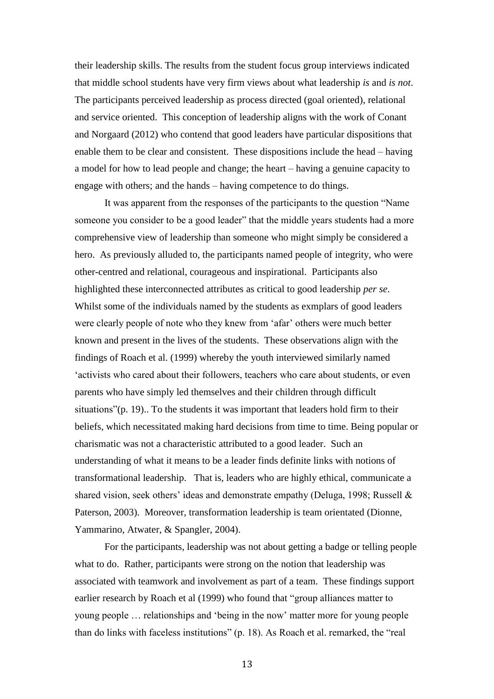their leadership skills. The results from the student focus group interviews indicated that middle school students have very firm views about what leadership *is* and *is not*. The participants perceived leadership as process directed (goal oriented), relational and service oriented. This conception of leadership aligns with the work of Conant and Norgaard (2012) who contend that good leaders have particular dispositions that enable them to be clear and consistent. These dispositions include the head – having a model for how to lead people and change; the heart – having a genuine capacity to engage with others; and the hands – having competence to do things.

It was apparent from the responses of the participants to the question "Name someone you consider to be a good leader" that the middle years students had a more comprehensive view of leadership than someone who might simply be considered a hero. As previously alluded to, the participants named people of integrity, who were other-centred and relational, courageous and inspirational. Participants also highlighted these interconnected attributes as critical to good leadership *per se*. Whilst some of the individuals named by the students as exmplars of good leaders were clearly people of note who they knew from 'afar' others were much better known and present in the lives of the students. These observations align with the findings of Roach et al. (1999) whereby the youth interviewed similarly named 'activists who cared about their followers, teachers who care about students, or even parents who have simply led themselves and their children through difficult situations"(p. 19).. To the students it was important that leaders hold firm to their beliefs, which necessitated making hard decisions from time to time. Being popular or charismatic was not a characteristic attributed to a good leader. Such an understanding of what it means to be a leader finds definite links with notions of transformational leadership. That is, leaders who are highly ethical, communicate a shared vision, seek others' ideas and demonstrate empathy (Deluga, 1998; Russell & Paterson, 2003). Moreover, transformation leadership is team orientated (Dionne, Yammarino, Atwater, & Spangler, 2004).

For the participants, leadership was not about getting a badge or telling people what to do. Rather, participants were strong on the notion that leadership was associated with teamwork and involvement as part of a team. These findings support earlier research by Roach et al (1999) who found that "group alliances matter to young people … relationships and 'being in the now' matter more for young people than do links with faceless institutions" (p. 18). As Roach et al. remarked, the "real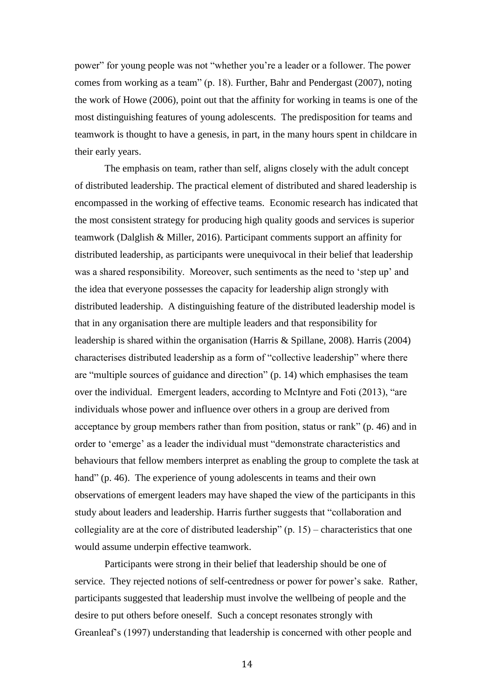power" for young people was not "whether you're a leader or a follower. The power comes from working as a team" (p. 18). Further, Bahr and Pendergast (2007), noting the work of Howe (2006), point out that the affinity for working in teams is one of the most distinguishing features of young adolescents. The predisposition for teams and teamwork is thought to have a genesis, in part, in the many hours spent in childcare in their early years.

The emphasis on team, rather than self, aligns closely with the adult concept of distributed leadership. The practical element of distributed and shared leadership is encompassed in the working of effective teams. Economic research has indicated that the most consistent strategy for producing high quality goods and services is superior teamwork (Dalglish & Miller, 2016). Participant comments support an affinity for distributed leadership, as participants were unequivocal in their belief that leadership was a shared responsibility. Moreover, such sentiments as the need to 'step up' and the idea that everyone possesses the capacity for leadership align strongly with distributed leadership. A distinguishing feature of the distributed leadership model is that in any organisation there are multiple leaders and that responsibility for leadership is shared within the organisation (Harris & Spillane, 2008). Harris (2004) characterises distributed leadership as a form of "collective leadership" where there are "multiple sources of guidance and direction" (p. 14) which emphasises the team over the individual. Emergent leaders, according to McIntyre and Foti (2013), "are individuals whose power and influence over others in a group are derived from acceptance by group members rather than from position, status or rank" (p. 46) and in order to 'emerge' as a leader the individual must "demonstrate characteristics and behaviours that fellow members interpret as enabling the group to complete the task at hand" (p. 46). The experience of young adolescents in teams and their own observations of emergent leaders may have shaped the view of the participants in this study about leaders and leadership. Harris further suggests that "collaboration and collegiality are at the core of distributed leadership" (p. 15) – characteristics that one would assume underpin effective teamwork.

Participants were strong in their belief that leadership should be one of service. They rejected notions of self-centredness or power for power's sake. Rather, participants suggested that leadership must involve the wellbeing of people and the desire to put others before oneself. Such a concept resonates strongly with Greanleaf's (1997) understanding that leadership is concerned with other people and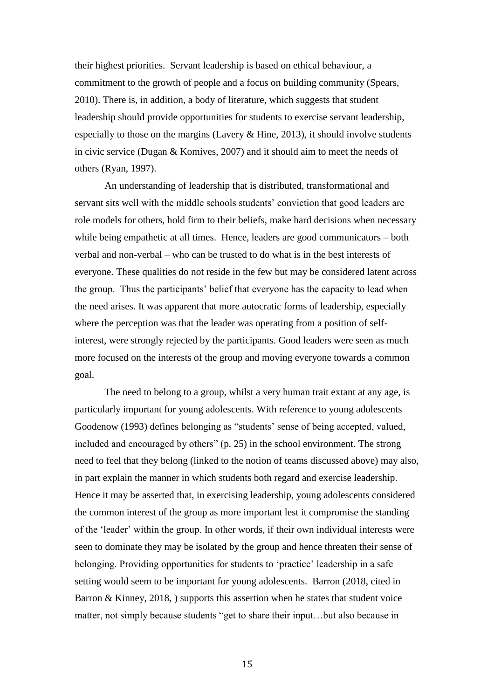their highest priorities. Servant leadership is based on ethical behaviour, a commitment to the growth of people and a focus on building community (Spears, 2010). There is, in addition, a body of literature, which suggests that student leadership should provide opportunities for students to exercise servant leadership, especially to those on the margins (Lavery & Hine, 2013), it should involve students in civic service (Dugan & Komives, 2007) and it should aim to meet the needs of others (Ryan, 1997).

An understanding of leadership that is distributed, transformational and servant sits well with the middle schools students' conviction that good leaders are role models for others, hold firm to their beliefs, make hard decisions when necessary while being empathetic at all times. Hence, leaders are good communicators – both verbal and non-verbal – who can be trusted to do what is in the best interests of everyone. These qualities do not reside in the few but may be considered latent across the group. Thus the participants' belief that everyone has the capacity to lead when the need arises. It was apparent that more autocratic forms of leadership, especially where the perception was that the leader was operating from a position of selfinterest, were strongly rejected by the participants. Good leaders were seen as much more focused on the interests of the group and moving everyone towards a common goal.

The need to belong to a group, whilst a very human trait extant at any age, is particularly important for young adolescents. With reference to young adolescents Goodenow (1993) defines belonging as "students' sense of being accepted, valued, included and encouraged by others" (p. 25) in the school environment. The strong need to feel that they belong (linked to the notion of teams discussed above) may also, in part explain the manner in which students both regard and exercise leadership. Hence it may be asserted that, in exercising leadership, young adolescents considered the common interest of the group as more important lest it compromise the standing of the 'leader' within the group. In other words, if their own individual interests were seen to dominate they may be isolated by the group and hence threaten their sense of belonging. Providing opportunities for students to 'practice' leadership in a safe setting would seem to be important for young adolescents. Barron (2018, cited in Barron & Kinney, 2018, ) supports this assertion when he states that student voice matter, not simply because students "get to share their input…but also because in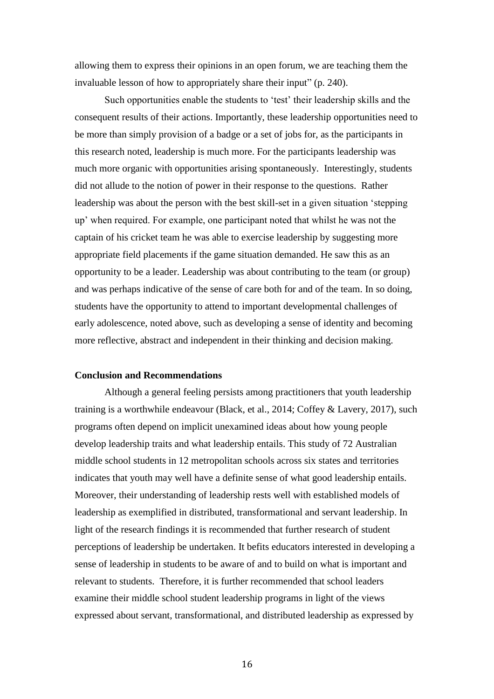allowing them to express their opinions in an open forum, we are teaching them the invaluable lesson of how to appropriately share their input" (p. 240).

Such opportunities enable the students to 'test' their leadership skills and the consequent results of their actions. Importantly, these leadership opportunities need to be more than simply provision of a badge or a set of jobs for, as the participants in this research noted, leadership is much more. For the participants leadership was much more organic with opportunities arising spontaneously. Interestingly, students did not allude to the notion of power in their response to the questions. Rather leadership was about the person with the best skill-set in a given situation 'stepping up' when required. For example, one participant noted that whilst he was not the captain of his cricket team he was able to exercise leadership by suggesting more appropriate field placements if the game situation demanded. He saw this as an opportunity to be a leader. Leadership was about contributing to the team (or group) and was perhaps indicative of the sense of care both for and of the team. In so doing, students have the opportunity to attend to important developmental challenges of early adolescence, noted above, such as developing a sense of identity and becoming more reflective, abstract and independent in their thinking and decision making.

#### **Conclusion and Recommendations**

Although a general feeling persists among practitioners that youth leadership training is a worthwhile endeavour (Black, et al., 2014; Coffey & Lavery, 2017), such programs often depend on implicit unexamined ideas about how young people develop leadership traits and what leadership entails. This study of 72 Australian middle school students in 12 metropolitan schools across six states and territories indicates that youth may well have a definite sense of what good leadership entails. Moreover, their understanding of leadership rests well with established models of leadership as exemplified in distributed, transformational and servant leadership. In light of the research findings it is recommended that further research of student perceptions of leadership be undertaken. It befits educators interested in developing a sense of leadership in students to be aware of and to build on what is important and relevant to students. Therefore, it is further recommended that school leaders examine their middle school student leadership programs in light of the views expressed about servant, transformational, and distributed leadership as expressed by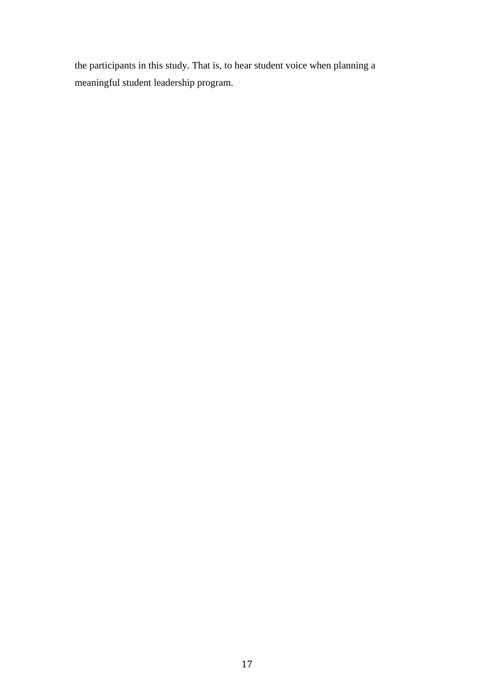the participants in this study. That is, to hear student voice when planning a meaningful student leadership program.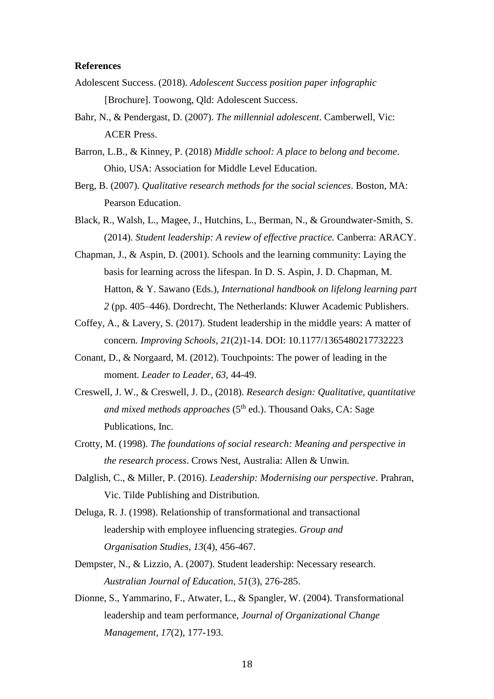## **References**

- Adolescent Success. (2018). *Adolescent Success position paper infographic* [Brochure]. Toowong, Qld: Adolescent Success.
- Bahr, N., & Pendergast, D. (2007). *The millennial adolescent*. Camberwell, Vic: ACER Press.
- Barron, L.B., & Kinney, P. (2018) *Middle school: A place to belong and become*. Ohio, USA: Association for Middle Level Education.
- Berg, B. (2007). *Qualitative research methods for the social sciences*. Boston, MA: Pearson Education.
- Black, R., Walsh, L., Magee, J., Hutchins, L., Berman, N., & Groundwater-Smith, S. (2014). *Student leadership: A review of effective practice.* Canberra: ARACY.
- Chapman, J., & Aspin, D. (2001). Schools and the learning community: Laying the basis for learning across the lifespan. In D. S. Aspin, J. D. Chapman, M. Hatton, & Y. Sawano (Eds.), *International handbook on lifelong learning part 2* (pp. 405–446). Dordrecht, The Netherlands: Kluwer Academic Publishers.
- Coffey, A., & Lavery, S. (2017). Student leadership in the middle years: A matter of concern*. Improving Schools, 21*(2)1-14. DOI: 10.1177/1365480217732223
- Conant, D., & Norgaard, M. (2012). Touchpoints: The power of leading in the moment. *Leader to Leader, 63*, 44-49.
- Creswell, J. W., & Creswell, J. D., (2018). *Research design: Qualitative, quantitative and mixed methods approaches* (5<sup>th</sup> ed.). Thousand Oaks, CA: Sage Publications, Inc.
- Crotty, M. (1998). *The foundations of social research: Meaning and perspective in the research process*. Crows Nest, Australia: Allen & Unwin.
- Dalglish, C., & Miller, P. (2016). *Leadership: Modernising our perspective*. Prahran, Vic. Tilde Publishing and Distribution.
- Deluga, R. J. (1998). Relationship of transformational and transactional leadership with employee influencing strategies. *Group and Organisation Studies, 13*(4), 456-467.
- Dempster, N., & Lizzio, A. (2007). Student leadership: Necessary research. *Australian Journal of Education, 51*(3), 276-285.
- Dionne, S., Yammarino, F., Atwater, L., & Spangler, W. (2004). Transformational leadership and team performance, *Journal of Organizational Change Management, 17*(2), 177-193.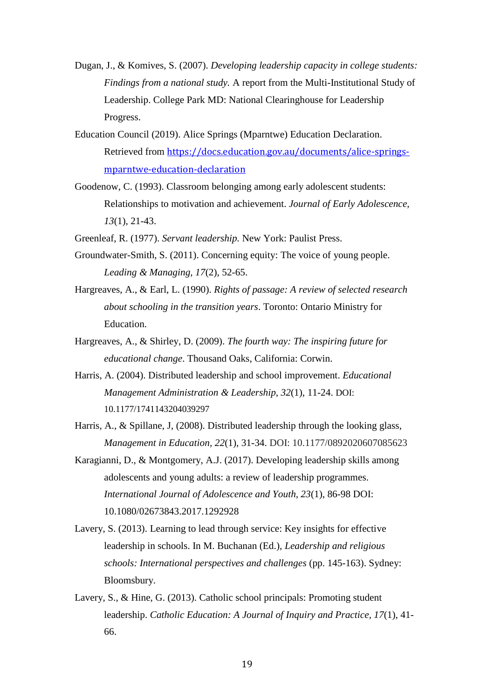- Dugan, J., & Komives, S. (2007). *Developing leadership capacity in college students: Findings from a national study.* A report from the Multi-Institutional Study of Leadership. College Park MD: National Clearinghouse for Leadership Progress.
- Education Council (2019). Alice Springs (Mparntwe) Education Declaration. Retrieved from [https://docs.education.gov.au/documents/alice-springs](https://docs.education.gov.au/documents/alice-springs-mparntwe-education-declaration)[mparntwe-education-declaration](https://docs.education.gov.au/documents/alice-springs-mparntwe-education-declaration)
- Goodenow, C. (1993). Classroom belonging among early adolescent students: Relationships to motivation and achievement. *Journal of Early Adolescence, 13*(1), 21-43.
- Greenleaf, R. (1977). *Servant leadership.* New York: Paulist Press.
- Groundwater-Smith, S. (2011). Concerning equity: The voice of young people. *Leading & Managing, 17*(2), 52-65.
- Hargreaves, A., & Earl, L. (1990). *Rights of passage: A review of selected research about schooling in the transition years*. Toronto: Ontario Ministry for Education.
- Hargreaves, A., & Shirley, D. (2009). *The fourth way: The inspiring future for educational change*. Thousand Oaks, California: Corwin.
- Harris, A. (2004). Distributed leadership and school improvement. *Educational Management Administration & Leadership, 32*(1), 11-24. DOI: 10.1177/1741143204039297
- Harris, A., & Spillane, J, (2008). Distributed leadership through the looking glass, *Management in Education, 22*(1), 31-34. DOI: 10.1177/0892020607085623
- Karagianni, D., & Montgomery, A.J. (2017). Developing leadership skills among adolescents and young adults: a review of leadership programmes. *International Journal of Adolescence and Youth, 23*(1), 86-98 DOI: 10.1080/02673843.2017.1292928
- Lavery, S. (2013). Learning to lead through service: Key insights for effective leadership in schools. In M. Buchanan (Ed.), *Leadership and religious schools: International perspectives and challenges* (pp. 145-163). Sydney: Bloomsbury.
- Lavery, S., & Hine, G. (2013). Catholic school principals: Promoting student leadership. *Catholic Education: A Journal of Inquiry and Practice, 17*(1), 41- 66.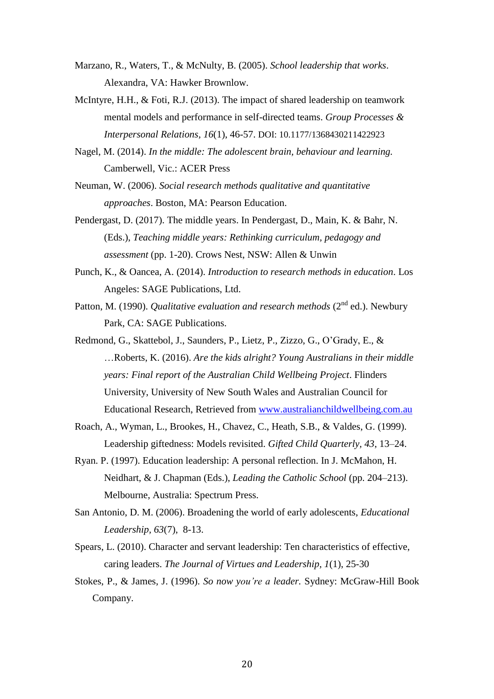- Marzano, R., Waters, T., & McNulty, B. (2005). *School leadership that works*. Alexandra, VA: Hawker Brownlow.
- McIntyre, H.H., & Foti, R.J. (2013). The impact of shared leadership on teamwork mental models and performance in self-directed teams. *Group Processes & Interpersonal Relations, 16*(1), 46-57. DOI: 10.1177/1368430211422923
- Nagel, M. (2014). *In the middle: The adolescent brain, behaviour and learning.* Camberwell, Vic.: ACER Press
- Neuman, W. (2006). *Social research methods qualitative and quantitative approaches*. Boston, MA: Pearson Education.
- Pendergast, D. (2017). The middle years. In Pendergast, D., Main, K. & Bahr, N. (Eds.), *Teaching middle years: Rethinking curriculum, pedagogy and assessment* (pp. 1-20). Crows Nest, NSW: Allen & Unwin
- Punch, K., & Oancea, A. (2014). *Introduction to research methods in education*. Los Angeles: SAGE Publications, Ltd.
- Patton, M. (1990). *Qualitative evaluation and research methods* (2<sup>nd</sup> ed.). Newbury Park, CA: SAGE Publications.
- Redmond, G., Skattebol, J., Saunders, P., Lietz, P., Zizzo, G., O'Grady, E., & …Roberts, K. (2016). *Are the kids alright? Young Australians in their middle years: Final report of the Australian Child Wellbeing Project*. Flinders University, University of New South Wales and Australian Council for Educational Research, Retrieved from [www.australianchildwellbeing.com.au](http://www.australianchildwellbeing.com.au/)
- Roach, A., Wyman, L., Brookes, H., Chavez, C., Heath, S.B., & Valdes, G. (1999). Leadership giftedness: Models revisited. *Gifted Child Quarterly, 43*, 13–24.
- Ryan. P. (1997). Education leadership: A personal reflection. In J. McMahon, H. Neidhart, & J. Chapman (Eds.), *Leading the Catholic School* (pp. 204–213). Melbourne, Australia: Spectrum Press.
- San Antonio, D. M. (2006). Broadening the world of early adolescents, *Educational Leadership, 63*(7), 8-13.
- Spears, L. (2010). Character and servant leadership: Ten characteristics of effective, caring leaders. *The Journal of Virtues and Leadership, 1*(1), 25-30
- Stokes, P., & James, J. (1996). *So now you're a leader.* Sydney: McGraw-Hill Book Company.